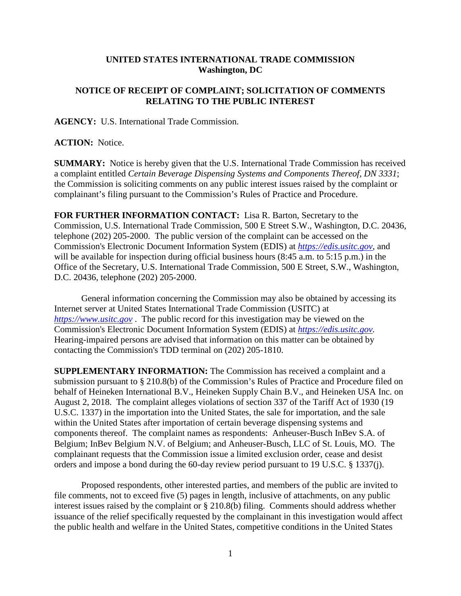## **UNITED STATES INTERNATIONAL TRADE COMMISSION Washington, DC**

## **NOTICE OF RECEIPT OF COMPLAINT; SOLICITATION OF COMMENTS RELATING TO THE PUBLIC INTEREST**

**AGENCY:** U.S. International Trade Commission.

## **ACTION:** Notice.

**SUMMARY:** Notice is hereby given that the U.S. International Trade Commission has received a complaint entitled *Certain Beverage Dispensing Systems and Components Thereof, DN 3331*; the Commission is soliciting comments on any public interest issues raised by the complaint or complainant's filing pursuant to the Commission's Rules of Practice and Procedure.

**FOR FURTHER INFORMATION CONTACT:** Lisa R. Barton, Secretary to the Commission, U.S. International Trade Commission, 500 E Street S.W., Washington, D.C. 20436, telephone (202) 205-2000. The public version of the complaint can be accessed on the Commission's Electronic Document Information System (EDIS) at *[https://edis.usitc.gov](https://edis.usitc.gov/)*, and will be available for inspection during official business hours (8:45 a.m. to 5:15 p.m.) in the Office of the Secretary, U.S. International Trade Commission, 500 E Street, S.W., Washington, D.C. 20436, telephone (202) 205-2000.

General information concerning the Commission may also be obtained by accessing its Internet server at United States International Trade Commission (USITC) at *[https://www.usitc.gov](https://www.usitc.gov/)* . The public record for this investigation may be viewed on the Commission's Electronic Document Information System (EDIS) at *[https://edis.usitc.gov.](https://edis.usitc.gov/)* Hearing-impaired persons are advised that information on this matter can be obtained by contacting the Commission's TDD terminal on (202) 205-1810.

**SUPPLEMENTARY INFORMATION:** The Commission has received a complaint and a submission pursuant to § 210.8(b) of the Commission's Rules of Practice and Procedure filed on behalf of Heineken International B.V., Heineken Supply Chain B.V., and Heineken USA Inc. on August 2, 2018. The complaint alleges violations of section 337 of the Tariff Act of 1930 (19 U.S.C. 1337) in the importation into the United States, the sale for importation, and the sale within the United States after importation of certain beverage dispensing systems and components thereof. The complaint names as respondents: Anheuser-Busch InBev S.A. of Belgium; InBev Belgium N.V. of Belgium; and Anheuser-Busch, LLC of St. Louis, MO. The complainant requests that the Commission issue a limited exclusion order, cease and desist orders and impose a bond during the 60-day review period pursuant to 19 U.S.C. § 1337(j).

Proposed respondents, other interested parties, and members of the public are invited to file comments, not to exceed five (5) pages in length, inclusive of attachments, on any public interest issues raised by the complaint or § 210.8(b) filing. Comments should address whether issuance of the relief specifically requested by the complainant in this investigation would affect the public health and welfare in the United States, competitive conditions in the United States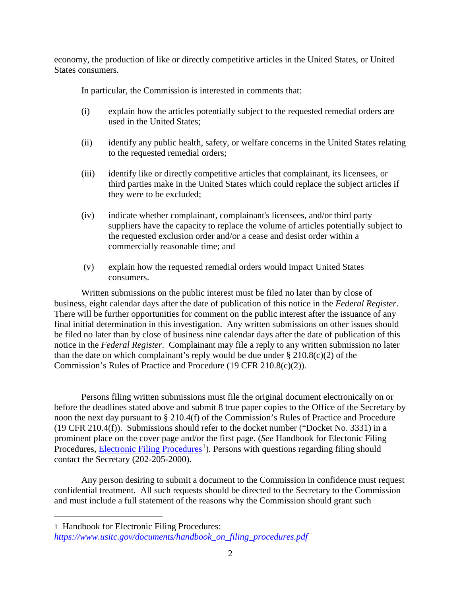economy, the production of like or directly competitive articles in the United States, or United States consumers.

In particular, the Commission is interested in comments that:

- (i) explain how the articles potentially subject to the requested remedial orders are used in the United States;
- (ii) identify any public health, safety, or welfare concerns in the United States relating to the requested remedial orders;
- (iii) identify like or directly competitive articles that complainant, its licensees, or third parties make in the United States which could replace the subject articles if they were to be excluded;
- (iv) indicate whether complainant, complainant's licensees, and/or third party suppliers have the capacity to replace the volume of articles potentially subject to the requested exclusion order and/or a cease and desist order within a commercially reasonable time; and
- (v) explain how the requested remedial orders would impact United States consumers.

Written submissions on the public interest must be filed no later than by close of business, eight calendar days after the date of publication of this notice in the *Federal Register*. There will be further opportunities for comment on the public interest after the issuance of any final initial determination in this investigation. Any written submissions on other issues should be filed no later than by close of business nine calendar days after the date of publication of this notice in the *Federal Register*. Complainant may file a reply to any written submission no later than the date on which complainant's reply would be due under  $\S 210.8(c)(2)$  of the Commission's Rules of Practice and Procedure (19 CFR 210.8(c)(2)).

Persons filing written submissions must file the original document electronically on or before the deadlines stated above and submit 8 true paper copies to the Office of the Secretary by noon the next day pursuant to § 210.4(f) of the Commission's Rules of Practice and Procedure (19 CFR 210.4(f)). Submissions should refer to the docket number ("Docket No. 3331) in a prominent place on the cover page and/or the first page. (*See* Handbook for Electonic Filing Procedures, **Electronic Filing Procedures**<sup>[1](#page-1-0)</sup>). Persons with questions regarding filing should contact the Secretary (202-205-2000).

Any person desiring to submit a document to the Commission in confidence must request confidential treatment. All such requests should be directed to the Secretary to the Commission and must include a full statement of the reasons why the Commission should grant such

<span id="page-1-0"></span>1 Handbook for Electronic Filing Procedures:

 $\overline{a}$ 

*[https://www.usitc.gov/documents/handbook\\_on\\_filing\\_procedures.pdf](https://www.usitc.gov/documents/handbook_on_filing_procedures.pdf)*